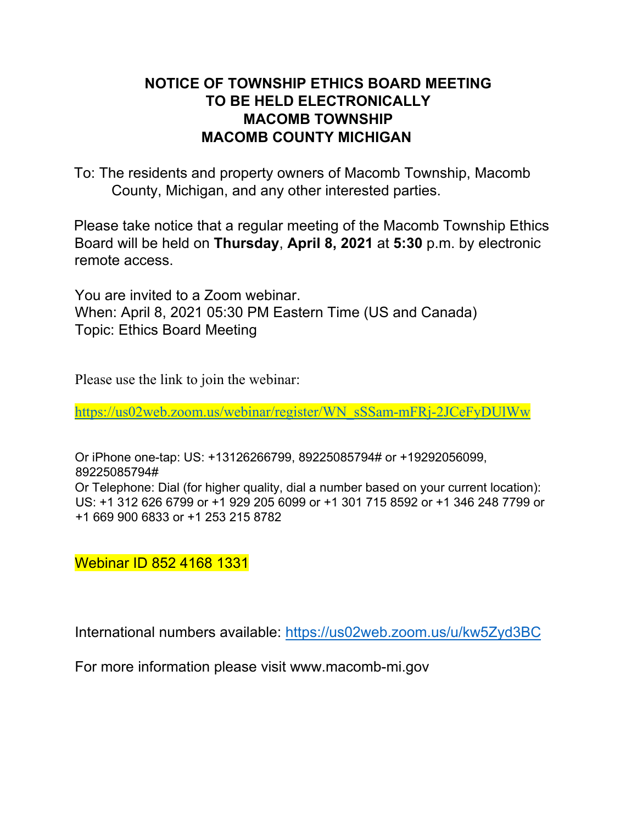# **NOTICE OF TOWNSHIP ETHICS BOARD MEETING TO BE HELD ELECTRONICALLY MACOMB TOWNSHIP MACOMB COUNTY MICHIGAN**

To: The residents and property owners of Macomb Township, Macomb County, Michigan, and any other interested parties.

Please take notice that a regular meeting of the Macomb Township Ethics Board will be held on **Thursday**, **April 8, 2021** at **5:30** p.m. by electronic remote access.

You are invited to a Zoom webinar. When: April 8, 2021 05:30 PM Eastern Time (US and Canada) Topic: Ethics Board Meeting

Please use the link to join the webinar:

https://us02web.zoom.us/webinar/register/WN\_sSSam-mFRj-2JCeFyDUlWw

Or iPhone one-tap: US: +13126266799, 89225085794# or +19292056099, 89225085794# Or Telephone: Dial (for higher quality, dial a number based on your current location): US: +1 312 626 6799 or +1 929 205 6099 or +1 301 715 8592 or +1 346 248 7799 or +1 669 900 6833 or +1 253 215 8782

Webinar ID 852 4168 1331

International numbers available: https://us02web.zoom.us/u/kw5Zyd3BC

For more information please visit www.macomb-mi.gov